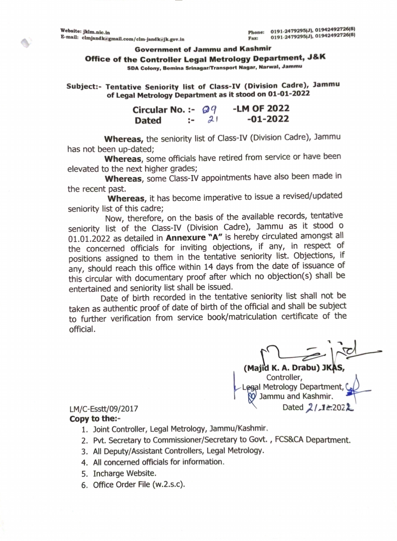Ó

### **Government of Jammu and Kashmir**

Office of the Controller Legal Metrology Department, J&K

SDA Colony, Bemina Srinagar/Transport Nagar, Narwal, Jammu

Subject:- Tentative Seniority list of Class-IV (Division Cadre), Jammu of Legal Metrology Department as it stood on 01-01-2022

| Circular No. :- $\mathcal{Q}q$ |  |           | -LM OF 2022 |
|--------------------------------|--|-----------|-------------|
| <b>Dated</b>                   |  | $\approx$ | $-01-2022$  |

Whereas, the seniority list of Class-IV (Division Cadre), Jammu has not been up-dated;

Whereas, some officials have retired from service or have been elevated to the next higher grades;

Whereas, some Class-IV appointments have also been made in the recent past.

Whereas, it has become imperative to issue a revised/updated seniority list of this cadre;

Now, therefore, on the basis of the available records, tentative seniority list of the Class-IV (Division Cadre), Jammu as it stood o 01.01.2022 as detailed in Annexure "A" is hereby circulated amongst all the concerned officials for inviting objections, if any, in respect of positions assigned to them in the tentative seniority list. Objections, if any, should reach this office within 14 days from the date of issuance of this circular with documentary proof after which no objection(s) shall be entertained and seniority list shall be issued.

Date of birth recorded in the tentative seniority list shall not be taken as authentic proof of date of birth of the official and shall be subject to further verification from service book/matriculation certificate of the official.

(Majid K. A. Drabu) JK Controller, egal Metrology Department, Jammu and Kashmir. Dated  $2/12.2022$ 

## LM/C-Esstt/09/2017

## Copy to the:-

- 1. Joint Controller, Legal Metrology, Jammu/Kashmir.
- 2. Pvt. Secretary to Commissioner/Secretary to Govt., FCS&CA Department.
- 3. All Deputy/Assistant Controllers, Legal Metrology.
- 4. All concerned officials for information.
- 5. Incharge Website.
- 6. Office Order File (w.2.s.c).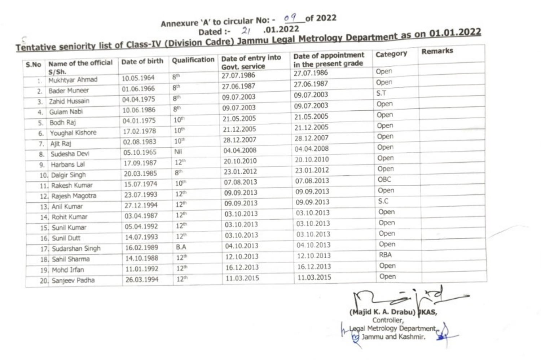Annexure 'A' to circular No: - 09 of 2022

Dated:- 2/ .01.2022

| S.No | Name of the official | Date of birth | Qualification    | Date of entry into<br>Govt. service | Tentative seniority list of Class-IV (Division Cadre) Jammu Legal Metrology Department as on 01.01.2022<br>Date of appointment<br>in the present grade | Category   |        |
|------|----------------------|---------------|------------------|-------------------------------------|--------------------------------------------------------------------------------------------------------------------------------------------------------|------------|--------|
|      | S/Sh.                | 10.05.1964    | 8 <sup>th</sup>  | 27.07.1986                          | 27.07.1986                                                                                                                                             | Open       |        |
|      | Mukhtyar Ahmad       | 01.06.1966    | 8 <sup>th</sup>  | 27.06.1987                          | 27.06.1987                                                                                                                                             | Open       |        |
|      | Bader Muneer         | 04.04.1975    | $8^{\circledR}$  | 09.07.2003                          | 09.07.2003                                                                                                                                             | S.T        |        |
| 3.   | Zahid Hussain        | 10.06.1986    | 8 <sup>th</sup>  | 09.07.2003                          | 09.07.2003                                                                                                                                             | Open       |        |
| 4.   | Gulam Nabi           | 04.01.1975    | $10^{th}$        | 21.05.2005                          | 21.05.2005                                                                                                                                             | Open       |        |
| 5.   | Bodh Raj             | 17.02.1978    | 10 <sup>th</sup> | 21.12.2005                          | 21.12.2005                                                                                                                                             | Open       |        |
| 6.   | Youghal Kishore      | 02.08.1983    | 10 <sup>th</sup> | 28.12.2007                          | 28.12.2007                                                                                                                                             | Open       |        |
| 7.   | Ajit Raj             | 05.10.1965    | Nil              | 04.04.2008                          | 04.04.2008                                                                                                                                             | Open       |        |
| 8.   | Sudesha Devi         |               | 12 <sup>th</sup> | 20.10.2010                          | 20.10.2010                                                                                                                                             | Open       |        |
| 9.   | Harbans Lal          | 17.09.1987    | $8^{\circ}$      | 23.01.2012                          | 23.01.2012                                                                                                                                             | Open       |        |
|      | 10. Dalgir Singh     | 20.03.1985    | $10^{th}$        | 07.08.2013                          | 07.08.2013                                                                                                                                             | OBC        |        |
|      | 11. Rakesh Kumar     | 15.07.1974    | 12 <sup>th</sup> | 09.09.2013                          | 09.09.2013                                                                                                                                             | Open       |        |
|      | 12. Rajesh Magotra   | 23.07.1993    | 12 <sup>th</sup> | 09.09.2013                          | 09.09.2013                                                                                                                                             | S.C        |        |
|      | 13. Anil Kumar       | 27.12.1994    | $12^{th}$        | 03.10.2013                          | 03.10.2013                                                                                                                                             | Open       |        |
|      | 14. Rohit Kumar      | 03.04.1987    | 12 <sup>th</sup> | 03.10.2013                          | 03.10.2013                                                                                                                                             | Open       |        |
|      | 15. Sunil Kumar      | 05.04.1992    |                  | 03.10.2013                          | 03.10.2013                                                                                                                                             | Open       | $\sim$ |
|      | 16. Sunil Dutt       | 14.07.1993    | 12 <sup>th</sup> | 04.10.2013                          | 04.10.2013                                                                                                                                             | Open       |        |
|      | 17. Sudarshan Singh  | 16.02.1989    | B.A              |                                     | 12.10.2013                                                                                                                                             | <b>RBA</b> |        |
|      | 18. Sahil Sharma     | 14.10.1988    | 12 <sup>th</sup> | 12.10.2013                          |                                                                                                                                                        |            |        |
|      | 19. Mohd Irfan       | 11.01.1992    | $12^{th}$        | 16.12.2013                          | 16.12.2013                                                                                                                                             | Open       |        |
|      | 20. Sanjeev Padha    | 26.03.1994    | 12 <sup>th</sup> | 11.03.2015                          | 11.03.2015                                                                                                                                             | Open       |        |

(Majid K. A. Drabu) KAS,

Controller, Legal Metrology Department, Jammu and Kashmir. œ